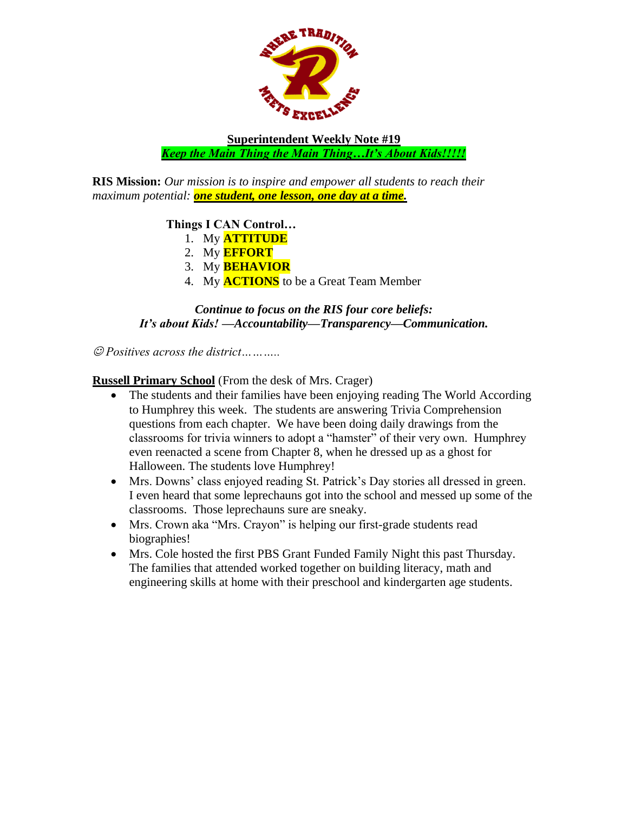

**Superintendent Weekly Note #19** *Keep the Main Thing the Main Thing…It's About Kids!!!!!*

**RIS Mission:** *Our mission is to inspire and empower all students to reach their maximum potential: one student, one lesson, one day at a time.*

### **Things I CAN Control…**

- 1. My **ATTITUDE**
- 2. My **EFFORT**
- 3. My **BEHAVIOR**
- 4. My **ACTIONS** to be a Great Team Member

#### *Continue to focus on the RIS four core beliefs: It's about Kids! —Accountability—Transparency—Communication.*

☺ *Positives across the district………..*

**Russell Primary School** (From the desk of Mrs. Crager)

- The students and their families have been enjoying reading The World According to Humphrey this week. The students are answering Trivia Comprehension questions from each chapter. We have been doing daily drawings from the classrooms for trivia winners to adopt a "hamster" of their very own. Humphrey even reenacted a scene from Chapter 8, when he dressed up as a ghost for Halloween. The students love Humphrey!
- Mrs. Downs' class enjoyed reading St. Patrick's Day stories all dressed in green. I even heard that some leprechauns got into the school and messed up some of the classrooms. Those leprechauns sure are sneaky.
- Mrs. Crown aka "Mrs. Crayon" is helping our first-grade students read biographies!
- Mrs. Cole hosted the first PBS Grant Funded Family Night this past Thursday. The families that attended worked together on building literacy, math and engineering skills at home with their preschool and kindergarten age students.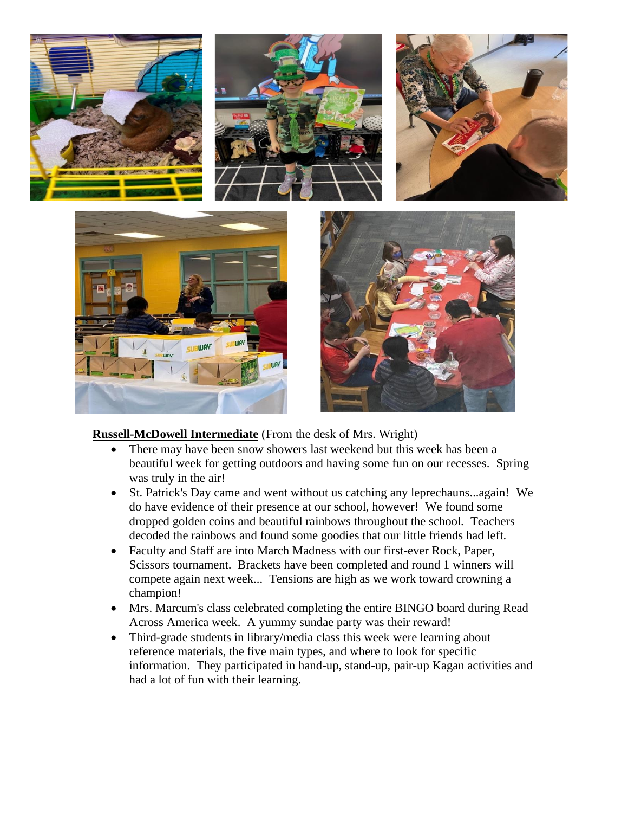

### **Russell-McDowell Intermediate** (From the desk of Mrs. Wright)

- There may have been snow showers last weekend but this week has been a beautiful week for getting outdoors and having some fun on our recesses. Spring was truly in the air!
- St. Patrick's Day came and went without us catching any leprechauns...again! We do have evidence of their presence at our school, however! We found some dropped golden coins and beautiful rainbows throughout the school. Teachers decoded the rainbows and found some goodies that our little friends had left.
- Faculty and Staff are into March Madness with our first-ever Rock, Paper, Scissors tournament. Brackets have been completed and round 1 winners will compete again next week... Tensions are high as we work toward crowning a champion!
- Mrs. Marcum's class celebrated completing the entire BINGO board during Read Across America week. A yummy sundae party was their reward!
- Third-grade students in library/media class this week were learning about reference materials, the five main types, and where to look for specific information. They participated in hand-up, stand-up, pair-up Kagan activities and had a lot of fun with their learning.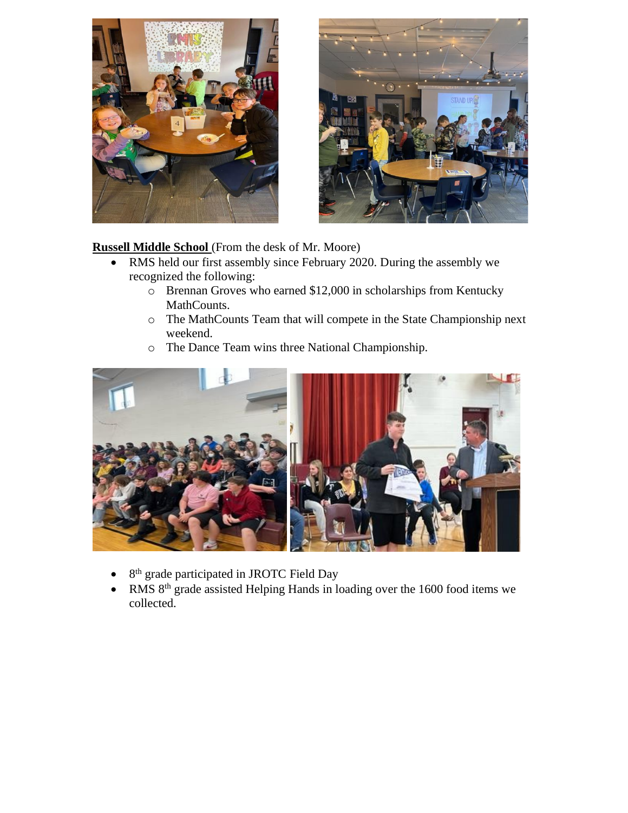



# **Russell Middle School** (From the desk of Mr. Moore)

- RMS held our first assembly since February 2020. During the assembly we recognized the following:
	- o Brennan Groves who earned \$12,000 in scholarships from Kentucky MathCounts.
	- o The MathCounts Team that will compete in the State Championship next weekend.
	- o The Dance Team wins three National Championship.



- 8<sup>th</sup> grade participated in JROTC Field Day
- RMS 8<sup>th</sup> grade assisted Helping Hands in loading over the 1600 food items we collected.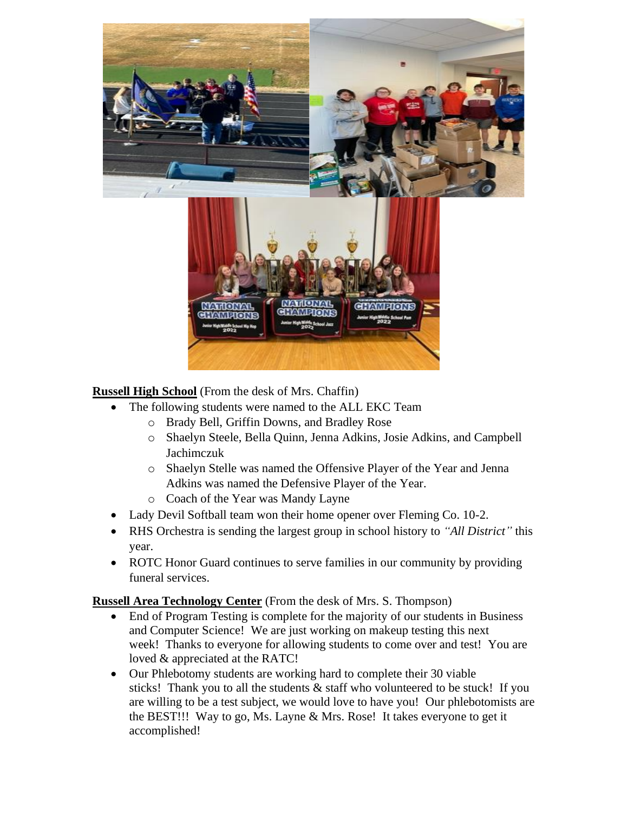

**Russell High School** (From the desk of Mrs. Chaffin)

- The following students were named to the ALL EKC Team
	- o Brady Bell, Griffin Downs, and Bradley Rose
	- o Shaelyn Steele, Bella Quinn, Jenna Adkins, Josie Adkins, and Campbell Jachimczuk
	- o Shaelyn Stelle was named the Offensive Player of the Year and Jenna Adkins was named the Defensive Player of the Year.
	- o Coach of the Year was Mandy Layne
- Lady Devil Softball team won their home opener over Fleming Co. 10-2.
- RHS Orchestra is sending the largest group in school history to *"All District"* this year.
- ROTC Honor Guard continues to serve families in our community by providing funeral services.

**Russell Area Technology Center** (From the desk of Mrs. S. Thompson)

- End of Program Testing is complete for the majority of our students in Business and Computer Science! We are just working on makeup testing this next week! Thanks to everyone for allowing students to come over and test! You are loved & appreciated at the RATC!
- Our Phlebotomy students are working hard to complete their 30 viable sticks! Thank you to all the students & staff who volunteered to be stuck! If you are willing to be a test subject, we would love to have you! Our phlebotomists are the BEST!!! Way to go, Ms. Layne & Mrs. Rose! It takes everyone to get it accomplished!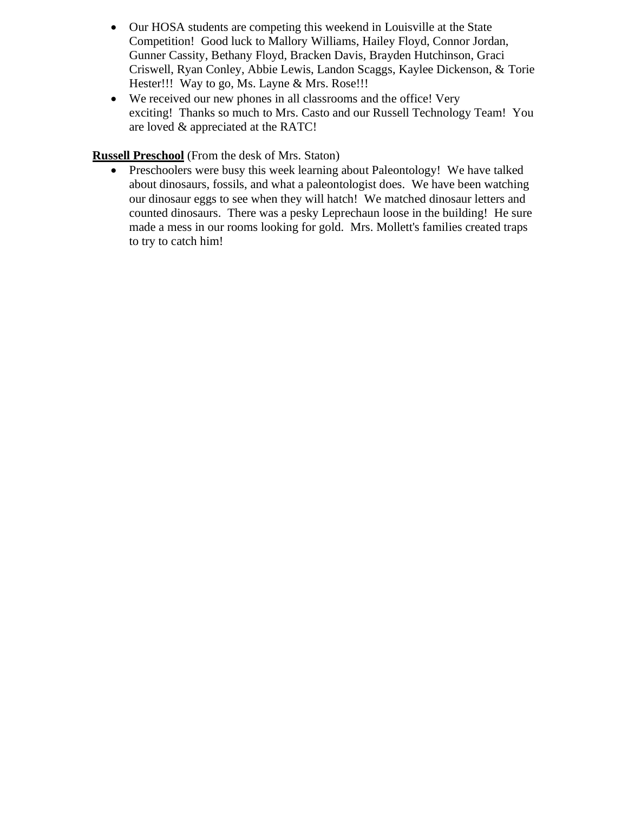- Our HOSA students are competing this weekend in Louisville at the State Competition! Good luck to Mallory Williams, Hailey Floyd, Connor Jordan, Gunner Cassity, Bethany Floyd, Bracken Davis, Brayden Hutchinson, Graci Criswell, Ryan Conley, Abbie Lewis, Landon Scaggs, Kaylee Dickenson, & Torie Hester!!! Way to go, Ms. Layne & Mrs. Rose!!!
- We received our new phones in all classrooms and the office! Very exciting! Thanks so much to Mrs. Casto and our Russell Technology Team! You are loved & appreciated at the RATC!

# **Russell Preschool** (From the desk of Mrs. Staton)

• Preschoolers were busy this week learning about Paleontology! We have talked about dinosaurs, fossils, and what a paleontologist does. We have been watching our dinosaur eggs to see when they will hatch! We matched dinosaur letters and counted dinosaurs. There was a pesky Leprechaun loose in the building! He sure made a mess in our rooms looking for gold. Mrs. Mollett's families created traps to try to catch him!